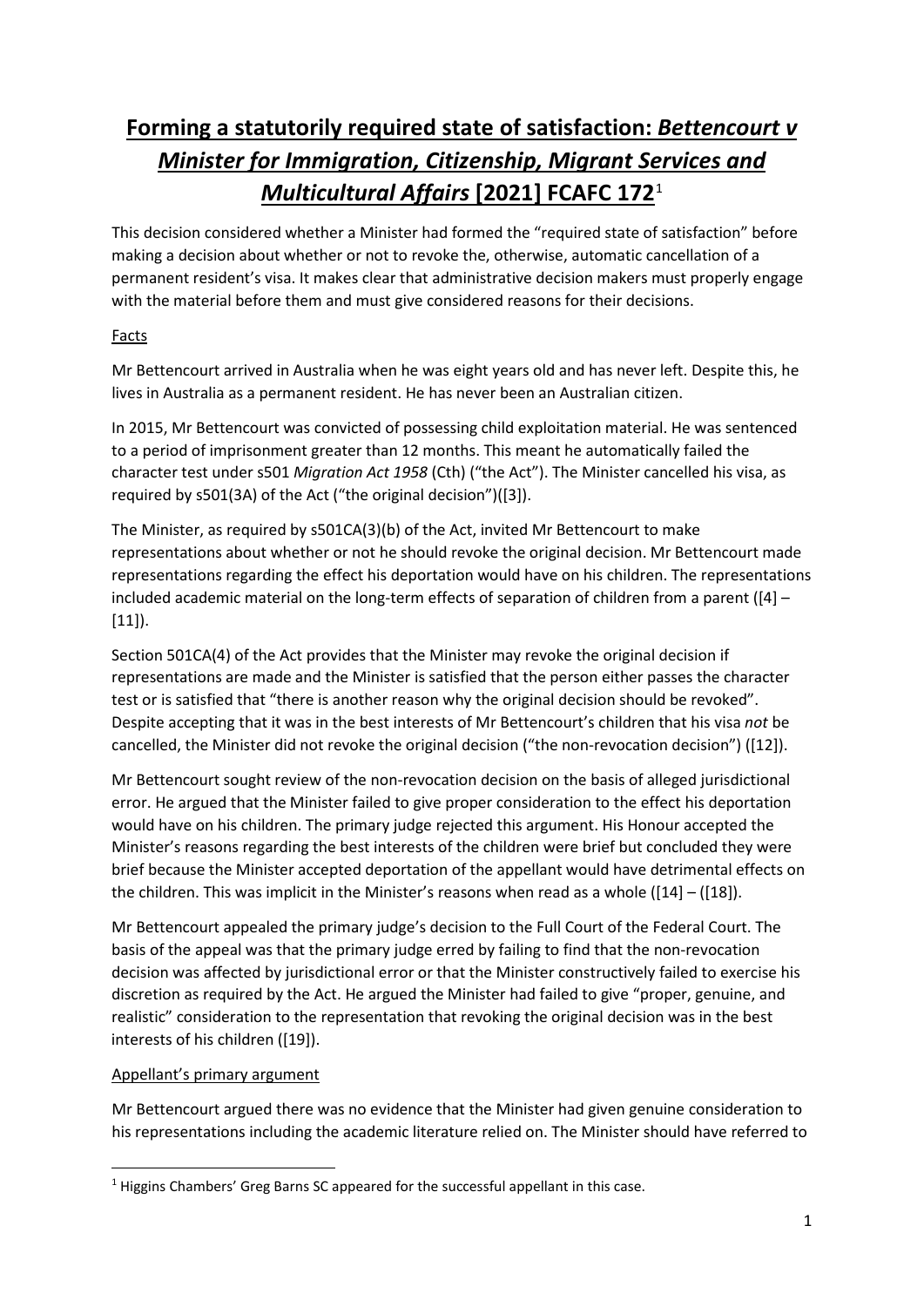# **Forming a statutorily required state of satisfaction:** *Bettencourt v Minister for Immigration, Citizenship, Migrant Services and Multicultural Affairs* **[2021] FCAFC 172**[1](#page-0-0)

This decision considered whether a Minister had formed the "required state of satisfaction" before making a decision about whether or not to revoke the, otherwise, automatic cancellation of a permanent resident's visa. It makes clear that administrative decision makers must properly engage with the material before them and must give considered reasons for their decisions.

## Facts

Mr Bettencourt arrived in Australia when he was eight years old and has never left. Despite this, he lives in Australia as a permanent resident. He has never been an Australian citizen.

In 2015, Mr Bettencourt was convicted of possessing child exploitation material. He was sentenced to a period of imprisonment greater than 12 months. This meant he automatically failed the character test under s501 *Migration Act 1958* (Cth) ("the Act"). The Minister cancelled his visa, as required by s501(3A) of the Act ("the original decision")([3]).

The Minister, as required by s501CA(3)(b) of the Act, invited Mr Bettencourt to make representations about whether or not he should revoke the original decision. Mr Bettencourt made representations regarding the effect his deportation would have on his children. The representations included academic material on the long-term effects of separation of children from a parent ([4] – [11]).

Section 501CA(4) of the Act provides that the Minister may revoke the original decision if representations are made and the Minister is satisfied that the person either passes the character test or is satisfied that "there is another reason why the original decision should be revoked". Despite accepting that it was in the best interests of Mr Bettencourt's children that his visa *not* be cancelled, the Minister did not revoke the original decision ("the non-revocation decision") ([12]).

Mr Bettencourt sought review of the non-revocation decision on the basis of alleged jurisdictional error. He argued that the Minister failed to give proper consideration to the effect his deportation would have on his children. The primary judge rejected this argument. His Honour accepted the Minister's reasons regarding the best interests of the children were brief but concluded they were brief because the Minister accepted deportation of the appellant would have detrimental effects on the children. This was implicit in the Minister's reasons when read as a whole ([14] – ([18]).

Mr Bettencourt appealed the primary judge's decision to the Full Court of the Federal Court. The basis of the appeal was that the primary judge erred by failing to find that the non-revocation decision was affected by jurisdictional error or that the Minister constructively failed to exercise his discretion as required by the Act. He argued the Minister had failed to give "proper, genuine, and realistic" consideration to the representation that revoking the original decision was in the best interests of his children ([19]).

#### Appellant's primary argument

Mr Bettencourt argued there was no evidence that the Minister had given genuine consideration to his representations including the academic literature relied on. The Minister should have referred to

<span id="page-0-0"></span><sup>&</sup>lt;sup>1</sup> Higgins Chambers' Greg Barns SC appeared for the successful appellant in this case.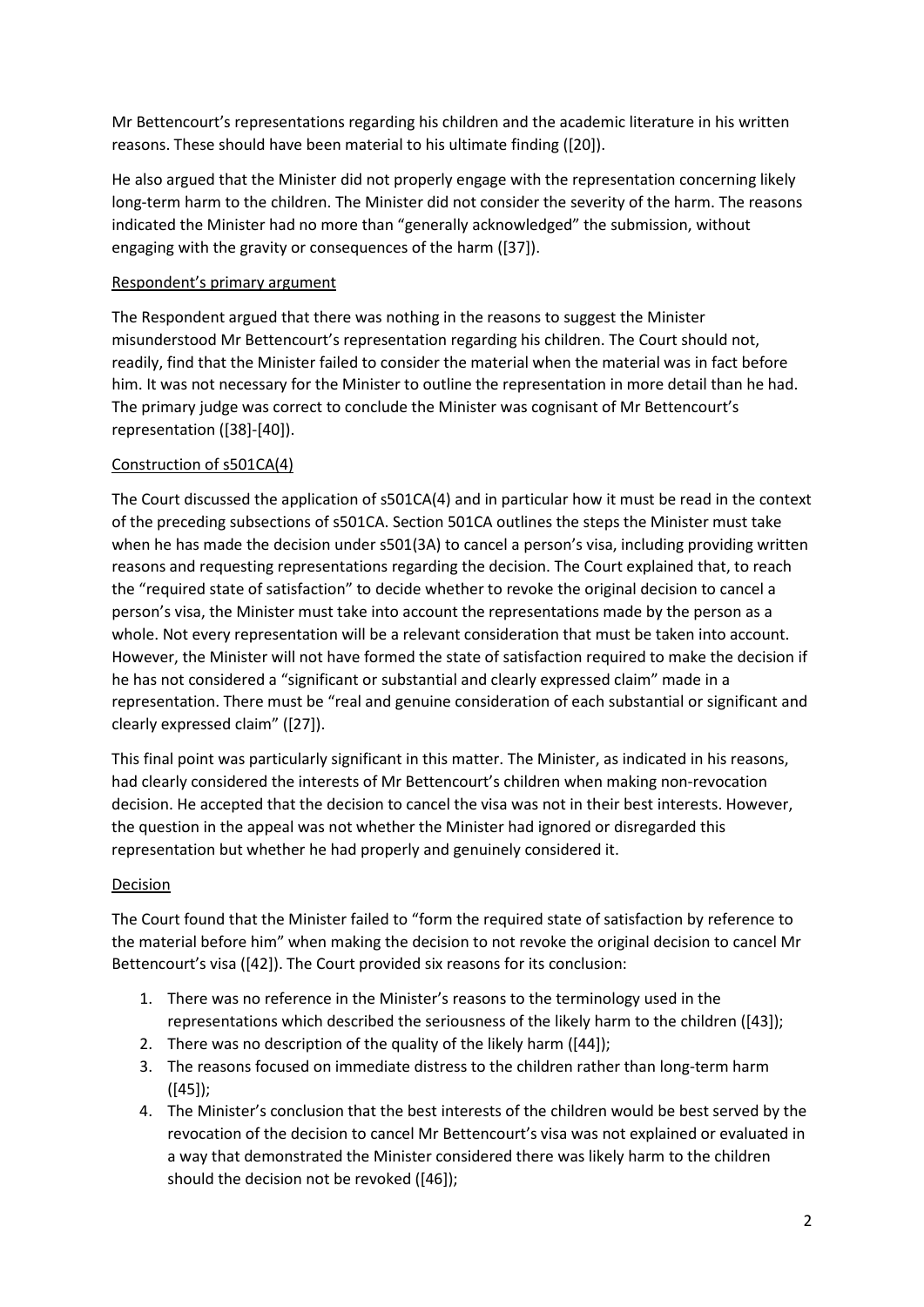Mr Bettencourt's representations regarding his children and the academic literature in his written reasons. These should have been material to his ultimate finding ([20]).

He also argued that the Minister did not properly engage with the representation concerning likely long-term harm to the children. The Minister did not consider the severity of the harm. The reasons indicated the Minister had no more than "generally acknowledged" the submission, without engaging with the gravity or consequences of the harm ([37]).

#### Respondent's primary argument

The Respondent argued that there was nothing in the reasons to suggest the Minister misunderstood Mr Bettencourt's representation regarding his children. The Court should not, readily, find that the Minister failed to consider the material when the material was in fact before him. It was not necessary for the Minister to outline the representation in more detail than he had. The primary judge was correct to conclude the Minister was cognisant of Mr Bettencourt's representation ([38]-[40]).

### Construction of s501CA(4)

The Court discussed the application of s501CA(4) and in particular how it must be read in the context of the preceding subsections of s501CA. Section 501CA outlines the steps the Minister must take when he has made the decision under s501(3A) to cancel a person's visa, including providing written reasons and requesting representations regarding the decision. The Court explained that, to reach the "required state of satisfaction" to decide whether to revoke the original decision to cancel a person's visa, the Minister must take into account the representations made by the person as a whole. Not every representation will be a relevant consideration that must be taken into account. However, the Minister will not have formed the state of satisfaction required to make the decision if he has not considered a "significant or substantial and clearly expressed claim" made in a representation. There must be "real and genuine consideration of each substantial or significant and clearly expressed claim" ([27]).

This final point was particularly significant in this matter. The Minister, as indicated in his reasons, had clearly considered the interests of Mr Bettencourt's children when making non-revocation decision. He accepted that the decision to cancel the visa was not in their best interests. However, the question in the appeal was not whether the Minister had ignored or disregarded this representation but whether he had properly and genuinely considered it.

#### Decision

The Court found that the Minister failed to "form the required state of satisfaction by reference to the material before him" when making the decision to not revoke the original decision to cancel Mr Bettencourt's visa ([42]). The Court provided six reasons for its conclusion:

- 1. There was no reference in the Minister's reasons to the terminology used in the representations which described the seriousness of the likely harm to the children ([43]);
- 2. There was no description of the quality of the likely harm ([44]);
- 3. The reasons focused on immediate distress to the children rather than long-term harm ([45]);
- 4. The Minister's conclusion that the best interests of the children would be best served by the revocation of the decision to cancel Mr Bettencourt's visa was not explained or evaluated in a way that demonstrated the Minister considered there was likely harm to the children should the decision not be revoked ([46]);